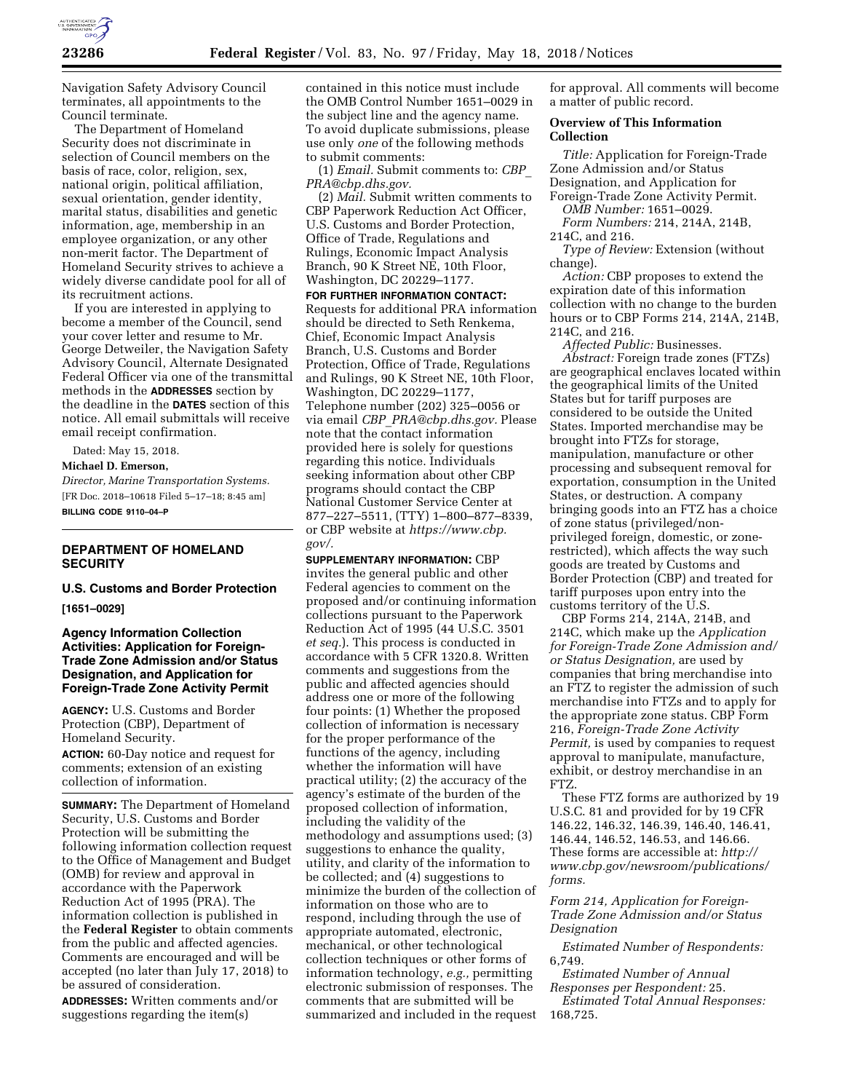

Navigation Safety Advisory Council terminates, all appointments to the Council terminate.

The Department of Homeland Security does not discriminate in selection of Council members on the basis of race, color, religion, sex, national origin, political affiliation, sexual orientation, gender identity, marital status, disabilities and genetic information, age, membership in an employee organization, or any other non-merit factor. The Department of Homeland Security strives to achieve a widely diverse candidate pool for all of its recruitment actions.

If you are interested in applying to become a member of the Council, send your cover letter and resume to Mr. George Detweiler, the Navigation Safety Advisory Council, Alternate Designated Federal Officer via one of the transmittal methods in the **ADDRESSES** section by the deadline in the **DATES** section of this notice. All email submittals will receive email receipt confirmation.

Dated: May 15, 2018.

**Michael D. Emerson,** 

*Director, Marine Transportation Systems.*  [FR Doc. 2018–10618 Filed 5–17–18; 8:45 am] **BILLING CODE 9110–04–P** 

# **DEPARTMENT OF HOMELAND SECURITY**

**U.S. Customs and Border Protection [1651–0029]** 

## **Agency Information Collection Activities: Application for Foreign-Trade Zone Admission and/or Status Designation, and Application for Foreign-Trade Zone Activity Permit**

**AGENCY:** U.S. Customs and Border Protection (CBP), Department of Homeland Security.

**ACTION:** 60-Day notice and request for comments; extension of an existing collection of information.

**SUMMARY:** The Department of Homeland Security, U.S. Customs and Border Protection will be submitting the following information collection request to the Office of Management and Budget (OMB) for review and approval in accordance with the Paperwork Reduction Act of 1995 (PRA). The information collection is published in the **Federal Register** to obtain comments from the public and affected agencies. Comments are encouraged and will be accepted (no later than July 17, 2018) to be assured of consideration.

**ADDRESSES:** Written comments and/or suggestions regarding the item(s)

contained in this notice must include the OMB Control Number 1651–0029 in the subject line and the agency name. To avoid duplicate submissions, please use only *one* of the following methods to submit comments:

(1) *Email.* Submit comments to: *[CBP](mailto:CBP_PRA@cbp.dhs.gov)*\_ *[PRA@cbp.dhs.gov.](mailto:CBP_PRA@cbp.dhs.gov)* 

(2) *Mail.* Submit written comments to CBP Paperwork Reduction Act Officer, U.S. Customs and Border Protection, Office of Trade, Regulations and Rulings, Economic Impact Analysis Branch, 90 K Street NE, 10th Floor, Washington, DC 20229–1177.

**FOR FURTHER INFORMATION CONTACT:**  Requests for additional PRA information should be directed to Seth Renkema, Chief, Economic Impact Analysis Branch, U.S. Customs and Border Protection, Office of Trade, Regulations and Rulings, 90 K Street NE, 10th Floor, Washington, DC 20229–1177, Telephone number (202) 325–0056 or via email *CBP*\_*[PRA@cbp.dhs.gov.](mailto:CBP_PRA@cbp.dhs.gov)* Please note that the contact information provided here is solely for questions regarding this notice. Individuals seeking information about other CBP programs should contact the CBP National Customer Service Center at 877–227–5511, (TTY) 1–800–877–8339, or CBP website at *[https://www.cbp.](https://www.cbp.gov/)  [gov/.](https://www.cbp.gov/)* 

**SUPPLEMENTARY INFORMATION:** CBP invites the general public and other Federal agencies to comment on the proposed and/or continuing information collections pursuant to the Paperwork Reduction Act of 1995 (44 U.S.C. 3501 *et seq.*). This process is conducted in accordance with 5 CFR 1320.8. Written comments and suggestions from the public and affected agencies should address one or more of the following four points: (1) Whether the proposed collection of information is necessary for the proper performance of the functions of the agency, including whether the information will have practical utility; (2) the accuracy of the agency's estimate of the burden of the proposed collection of information, including the validity of the methodology and assumptions used; (3) suggestions to enhance the quality, utility, and clarity of the information to be collected; and (4) suggestions to minimize the burden of the collection of information on those who are to respond, including through the use of appropriate automated, electronic, mechanical, or other technological collection techniques or other forms of information technology, *e.g.,* permitting electronic submission of responses. The comments that are submitted will be summarized and included in the request

for approval. All comments will become a matter of public record.

### **Overview of This Information Collection**

*Title:* Application for Foreign-Trade Zone Admission and/or Status Designation, and Application for Foreign-Trade Zone Activity Permit.

*OMB Number:* 1651–0029. *Form Numbers:* 214, 214A, 214B,

214C, and 216.

*Type of Review:* Extension (without change).

*Action:* CBP proposes to extend the expiration date of this information collection with no change to the burden hours or to CBP Forms 214, 214A, 214B, 214C, and 216.

*Affected Public:* Businesses. *Abstract:* Foreign trade zones (FTZs) are geographical enclaves located within the geographical limits of the United States but for tariff purposes are considered to be outside the United States. Imported merchandise may be brought into FTZs for storage, manipulation, manufacture or other processing and subsequent removal for exportation, consumption in the United States, or destruction. A company bringing goods into an FTZ has a choice of zone status (privileged/nonprivileged foreign, domestic, or zonerestricted), which affects the way such goods are treated by Customs and Border Protection (CBP) and treated for tariff purposes upon entry into the customs territory of the U.S.

CBP Forms 214, 214A, 214B, and 214C, which make up the *Application for Foreign-Trade Zone Admission and/ or Status Designation,* are used by companies that bring merchandise into an FTZ to register the admission of such merchandise into FTZs and to apply for the appropriate zone status. CBP Form 216, *Foreign-Trade Zone Activity Permit,* is used by companies to request approval to manipulate, manufacture, exhibit, or destroy merchandise in an FTZ.

These FTZ forms are authorized by 19 U.S.C. 81 and provided for by 19 CFR 146.22, 146.32, 146.39, 146.40, 146.41, 146.44, 146.52, 146.53, and 146.66. These forms are accessible at: *[http://](http://www.cbp.gov/newsroom/publications/forms) [www.cbp.gov/newsroom/publications/](http://www.cbp.gov/newsroom/publications/forms)  [forms.](http://www.cbp.gov/newsroom/publications/forms)* 

*Form 214, Application for Foreign-Trade Zone Admission and/or Status Designation* 

*Estimated Number of Respondents:*  6,749.

*Estimated Number of Annual Responses per Respondent:* 25. *Estimated Total Annual Responses:*  168,725.